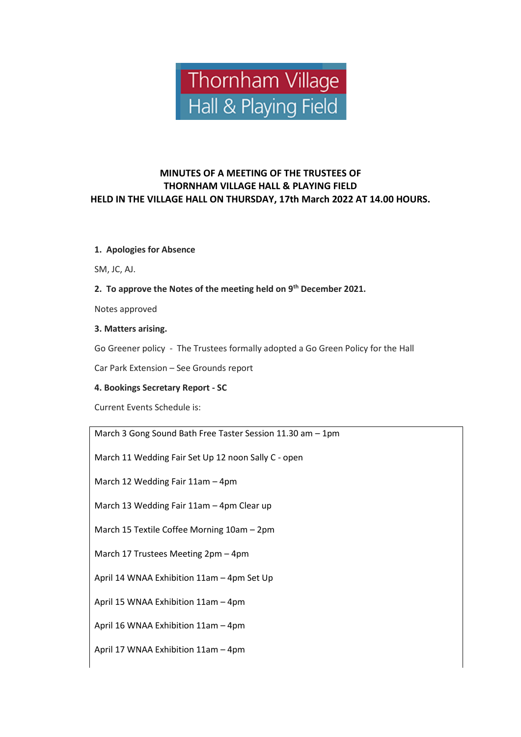

# **MINUTES OF A MEETING OF THE TRUSTEES OF THORNHAM VILLAGE HALL & PLAYING FIELD HELD IN THE VILLAGE HALL ON THURSDAY, 17th March 2022 AT 14.00 HOURS.**

#### **1. Apologies for Absence**

SM, JC, AJ.

## **2. To approve the Notes of the meeting held on 9th December 2021.**

Notes approved

#### **3. Matters arising.**

Go Greener policy - The Trustees formally adopted a Go Green Policy for the Hall

Car Park Extension – See Grounds report

## **4. Bookings Secretary Report - SC**

Current Events Schedule is:

March 3 Gong Sound Bath Free Taster Session 11.30 am – 1pm

March 11 Wedding Fair Set Up 12 noon Sally C - open

March 12 Wedding Fair 11am – 4pm

March 13 Wedding Fair 11am – 4pm Clear up

March 15 Textile Coffee Morning 10am – 2pm

March 17 Trustees Meeting 2pm – 4pm

April 14 WNAA Exhibition 11am – 4pm Set Up

April 15 WNAA Exhibition 11am – 4pm

April 16 WNAA Exhibition 11am – 4pm

April 17 WNAA Exhibition 11am – 4pm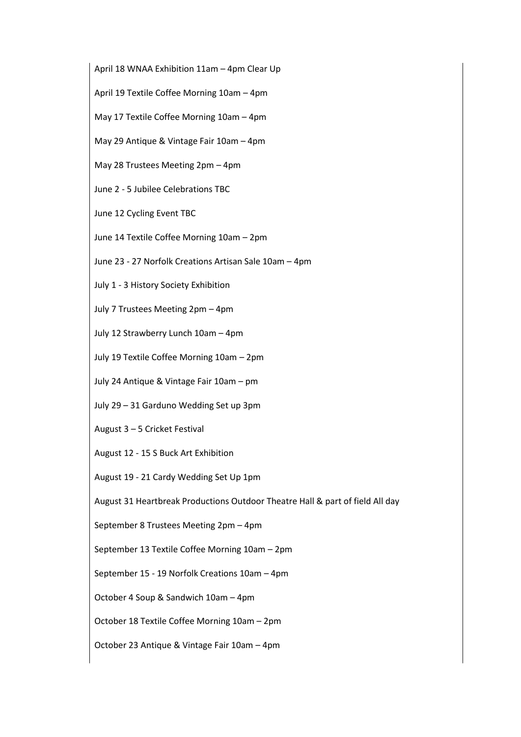April 18 WNAA Exhibition 11am – 4pm Clear Up

April 19 Textile Coffee Morning 10am – 4pm

May 17 Textile Coffee Morning 10am – 4pm

May 29 Antique & Vintage Fair 10am – 4pm

May 28 Trustees Meeting 2pm – 4pm

June 2 - 5 Jubilee Celebrations TBC

June 12 Cycling Event TBC

June 14 Textile Coffee Morning 10am – 2pm

June 23 - 27 Norfolk Creations Artisan Sale 10am – 4pm

July 1 - 3 History Society Exhibition

July 7 Trustees Meeting 2pm – 4pm

July 12 Strawberry Lunch 10am – 4pm

July 19 Textile Coffee Morning 10am – 2pm

July 24 Antique & Vintage Fair 10am – pm

July 29 – 31 Garduno Wedding Set up 3pm

August 3 – 5 Cricket Festival

August 12 - 15 S Buck Art Exhibition

August 19 - 21 Cardy Wedding Set Up 1pm

August 31 Heartbreak Productions Outdoor Theatre Hall & part of field All day

September 8 Trustees Meeting 2pm – 4pm

September 13 Textile Coffee Morning 10am – 2pm

September 15 - 19 Norfolk Creations 10am – 4pm

October 4 Soup & Sandwich 10am – 4pm

October 18 Textile Coffee Morning 10am – 2pm

October 23 Antique & Vintage Fair 10am – 4pm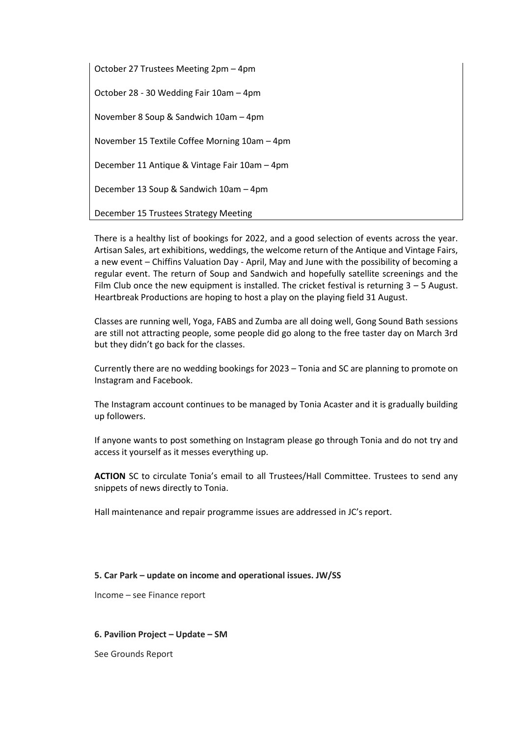October 27 Trustees Meeting 2pm – 4pm October 28 - 30 Wedding Fair 10am – 4pm November 8 Soup & Sandwich 10am – 4pm November 15 Textile Coffee Morning 10am – 4pm December 11 Antique & Vintage Fair 10am – 4pm December 13 Soup & Sandwich 10am – 4pm December 15 Trustees Strategy Meeting

There is a healthy list of bookings for 2022, and a good selection of events across the year. Artisan Sales, art exhibitions, weddings, the welcome return of the Antique and Vintage Fairs, a new event – Chiffins Valuation Day - April, May and June with the possibility of becoming a regular event. The return of Soup and Sandwich and hopefully satellite screenings and the Film Club once the new equipment is installed. The cricket festival is returning 3 – 5 August. Heartbreak Productions are hoping to host a play on the playing field 31 August.

Classes are running well, Yoga, FABS and Zumba are all doing well, Gong Sound Bath sessions are still not attracting people, some people did go along to the free taster day on March 3rd but they didn't go back for the classes.

Currently there are no wedding bookings for 2023 – Tonia and SC are planning to promote on Instagram and Facebook.

The Instagram account continues to be managed by Tonia Acaster and it is gradually building up followers.

If anyone wants to post something on Instagram please go through Tonia and do not try and access it yourself as it messes everything up.

**ACTION** SC to circulate Tonia's email to all Trustees/Hall Committee. Trustees to send any snippets of news directly to Tonia.

Hall maintenance and repair programme issues are addressed in JC's report.

## **5. Car Park – update on income and operational issues. JW/SS**

Income – see Finance report

#### **6. Pavilion Project – Update – SM**

See Grounds Report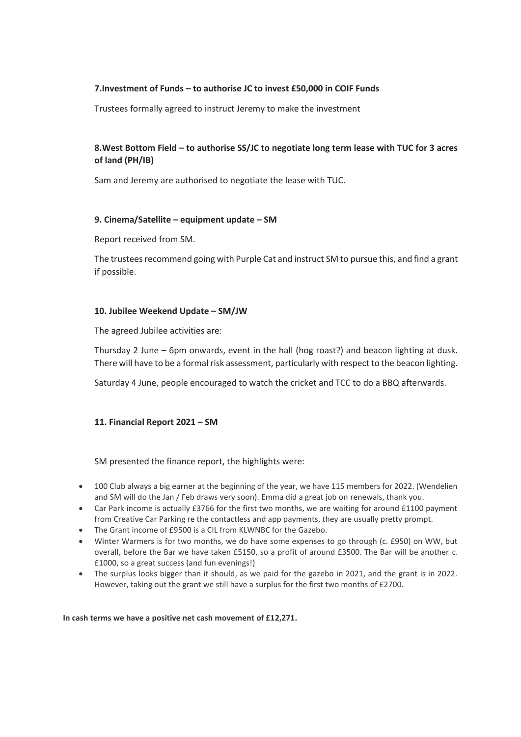## **7.Investment of Funds – to authorise JC to invest £50,000 in COIF Funds**

Trustees formally agreed to instruct Jeremy to make the investment

# **8.West Bottom Field – to authorise SS/JC to negotiate long term lease with TUC for 3 acres of land (PH/IB)**

Sam and Jeremy are authorised to negotiate the lease with TUC.

#### **9. Cinema/Satellite – equipment update – SM**

Report received from SM.

The trustees recommend going with Purple Cat and instruct SM to pursue this, and find a grant if possible.

#### **10. Jubilee Weekend Update – SM/JW**

The agreed Jubilee activities are:

Thursday 2 June – 6pm onwards, event in the hall (hog roast?) and beacon lighting at dusk. There will have to be a formal risk assessment, particularly with respect to the beacon lighting.

Saturday 4 June, people encouraged to watch the cricket and TCC to do a BBQ afterwards.

## **11. Financial Report 2021 – SM**

SM presented the finance report, the highlights were:

- 100 Club always a big earner at the beginning of the year, we have 115 members for 2022. (Wendelien and SM will do the Jan / Feb draws very soon). Emma did a great job on renewals, thank you.
- Car Park income is actually £3766 for the first two months, we are waiting for around £1100 payment from Creative Car Parking re the contactless and app payments, they are usually pretty prompt.
- The Grant income of £9500 is a CIL from KLWNBC for the Gazebo.
- Winter Warmers is for two months, we do have some expenses to go through (c. £950) on WW, but overall, before the Bar we have taken £5150, so a profit of around £3500. The Bar will be another c. £1000, so a great success (and fun evenings!)
- The surplus looks bigger than it should, as we paid for the gazebo in 2021, and the grant is in 2022. However, taking out the grant we still have a surplus for the first two months of £2700.

**In cash terms we have a positive net cash movement of £12,271.**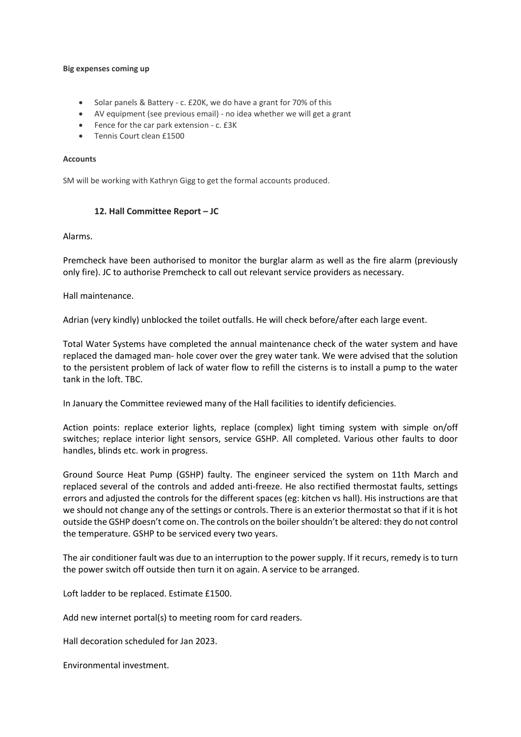#### **Big expenses coming up**

- Solar panels & Battery c. £20K, we do have a grant for 70% of this
- AV equipment (see previous email) no idea whether we will get a grant
- Fence for the car park extension c. £3K
- Tennis Court clean £1500

#### **Accounts**

SM will be working with Kathryn Gigg to get the formal accounts produced.

#### **12. Hall Committee Report – JC**

#### Alarms.

Premcheck have been authorised to monitor the burglar alarm as well as the fire alarm (previously only fire). JC to authorise Premcheck to call out relevant service providers as necessary.

Hall maintenance.

Adrian (very kindly) unblocked the toilet outfalls. He will check before/after each large event.

Total Water Systems have completed the annual maintenance check of the water system and have replaced the damaged man- hole cover over the grey water tank. We were advised that the solution to the persistent problem of lack of water flow to refill the cisterns is to install a pump to the water tank in the loft. TBC.

In January the Committee reviewed many of the Hall facilities to identify deficiencies.

Action points: replace exterior lights, replace (complex) light timing system with simple on/off switches; replace interior light sensors, service GSHP. All completed. Various other faults to door handles, blinds etc. work in progress.

Ground Source Heat Pump (GSHP) faulty. The engineer serviced the system on 11th March and replaced several of the controls and added anti-freeze. He also rectified thermostat faults, settings errors and adjusted the controls for the different spaces (eg: kitchen vs hall). His instructions are that we should not change any of the settings or controls. There is an exterior thermostat so that if it is hot outside the GSHP doesn't come on. The controls on the boiler shouldn't be altered: they do not control the temperature. GSHP to be serviced every two years.

The air conditioner fault was due to an interruption to the power supply. If it recurs, remedy is to turn the power switch off outside then turn it on again. A service to be arranged.

Loft ladder to be replaced. Estimate £1500.

Add new internet portal(s) to meeting room for card readers.

Hall decoration scheduled for Jan 2023.

Environmental investment.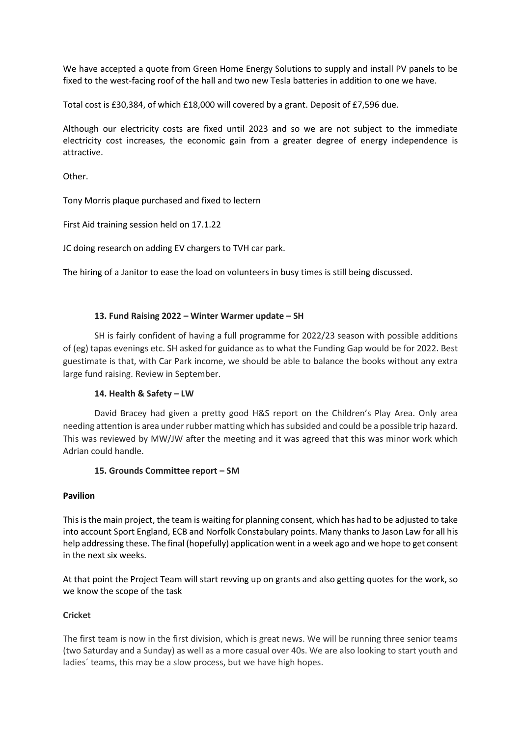We have accepted a quote from Green Home Energy Solutions to supply and install PV panels to be fixed to the west-facing roof of the hall and two new Tesla batteries in addition to one we have.

Total cost is £30,384, of which £18,000 will covered by a grant. Deposit of £7,596 due.

Although our electricity costs are fixed until 2023 and so we are not subject to the immediate electricity cost increases, the economic gain from a greater degree of energy independence is attractive.

Other.

Tony Morris plaque purchased and fixed to lectern

First Aid training session held on 17.1.22

JC doing research on adding EV chargers to TVH car park.

The hiring of a Janitor to ease the load on volunteers in busy times is still being discussed.

## **13. Fund Raising 2022 – Winter Warmer update – SH**

SH is fairly confident of having a full programme for 2022/23 season with possible additions of (eg) tapas evenings etc. SH asked for guidance as to what the Funding Gap would be for 2022. Best guestimate is that, with Car Park income, we should be able to balance the books without any extra large fund raising. Review in September.

## **14. Health & Safety – LW**

David Bracey had given a pretty good H&S report on the Children's Play Area. Only area needing attention is area under rubber matting which has subsided and could be a possible trip hazard. This was reviewed by MW/JW after the meeting and it was agreed that this was minor work which Adrian could handle.

## **15. Grounds Committee report – SM**

## **Pavilion**

This is the main project, the team is waiting for planning consent, which has had to be adjusted to take into account Sport England, ECB and Norfolk Constabulary points. Many thanks to Jason Law for all his help addressing these. The final (hopefully) application went in a week ago and we hope to get consent in the next six weeks.

At that point the Project Team will start revving up on grants and also getting quotes for the work, so we know the scope of the task

# **Cricket**

The first team is now in the first division, which is great news. We will be running three senior teams (two Saturday and a Sunday) as well as a more casual over 40s. We are also looking to start youth and ladies´ teams, this may be a slow process, but we have high hopes.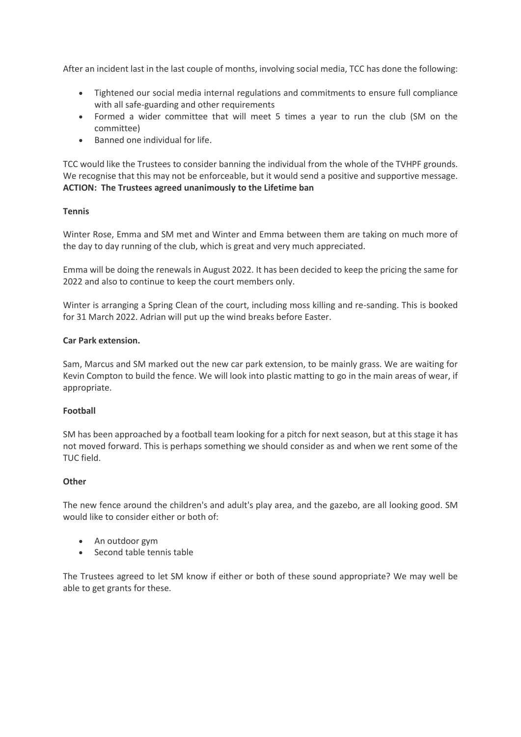After an incident last in the last couple of months, involving social media, TCC has done the following:

- Tightened our social media internal regulations and commitments to ensure full compliance with all safe-guarding and other requirements
- Formed a wider committee that will meet 5 times a year to run the club (SM on the committee)
- Banned one individual for life.

TCC would like the Trustees to consider banning the individual from the whole of the TVHPF grounds. We recognise that this may not be enforceable, but it would send a positive and supportive message. **ACTION: The Trustees agreed unanimously to the Lifetime ban**

## **Tennis**

Winter Rose, Emma and SM met and Winter and Emma between them are taking on much more of the day to day running of the club, which is great and very much appreciated.

Emma will be doing the renewals in August 2022. It has been decided to keep the pricing the same for 2022 and also to continue to keep the court members only.

Winter is arranging a Spring Clean of the court, including moss killing and re-sanding. This is booked for 31 March 2022. Adrian will put up the wind breaks before Easter.

## **Car Park extension.**

Sam, Marcus and SM marked out the new car park extension, to be mainly grass. We are waiting for Kevin Compton to build the fence. We will look into plastic matting to go in the main areas of wear, if appropriate.

## **Football**

SM has been approached by a football team looking for a pitch for next season, but at this stage it has not moved forward. This is perhaps something we should consider as and when we rent some of the TUC field.

#### **Other**

The new fence around the children's and adult's play area, and the gazebo, are all looking good. SM would like to consider either or both of:

- An outdoor gym
- Second table tennis table

The Trustees agreed to let SM know if either or both of these sound appropriate? We may well be able to get grants for these.